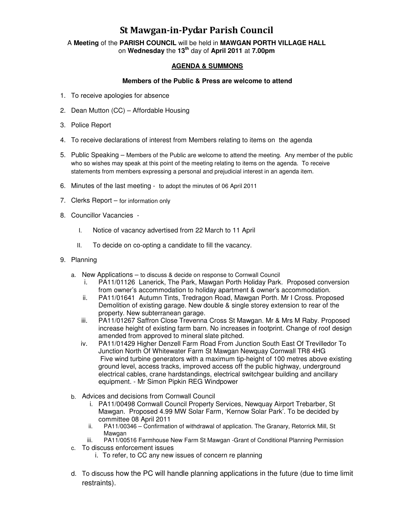## St Mawgan-in-Pydar Parish Council

A **Meeting** of the **PARISH COUNCIL** will be held in **MAWGAN PORTH VILLAGE HALL** on **Wednesday** the **13th** day of **April 2011** at **7.00pm** 

## **AGENDA & SUMMONS**

## **Members of the Public & Press are welcome to attend**

- 1. To receive apologies for absence
- 2. Dean Mutton (CC) Affordable Housing
- 3. Police Report
- 4. To receive declarations of interest from Members relating to items on the agenda
- 5. Public Speaking Members of the Public are welcome to attend the meeting. Any member of the public who so wishes may speak at this point of the meeting relating to items on the agenda. To receive statements from members expressing a personal and prejudicial interest in an agenda item.
- 6. Minutes of the last meeting to adopt the minutes of 06 April 2011
- 7. Clerks Report for information only
- 8. Councillor Vacancies
	- I. Notice of vacancy advertised from 22 March to 11 April
	- II. To decide on co-opting a candidate to fill the vacancy.
- 9. Planning
	- a. New Applications to discuss & decide on response to Cornwall Council
		- i. PA11/01126 Lanerick, The Park, Mawgan Porth Holiday Park. Proposed conversion from owner's accommodation to holiday apartment & owner's accommodation.
		- ii. PA11/01641 Autumn Tints, Tredragon Road, Mawgan Porth. Mr I Cross. Proposed Demolition of existing garage. New double & single storey extension to rear of the property. New subterranean garage.
		- iii. PA11/01267 Saffron Close Trevenna Cross St Mawgan. Mr & Mrs M Raby. Proposed increase height of existing farm barn. No increases in footprint. Change of roof design amended from approved to mineral slate pitched.
		- iv. PA11/01429 Higher Denzell Farm Road From Junction South East Of Trevilledor To Junction North Of Whitewater Farm St Mawgan Newquay Cornwall TR8 4HG Five wind turbine generators with a maximum tip-height of 100 metres above existing ground level, access tracks, improved access off the public highway, underground electrical cables, crane hardstandings, electrical switchgear building and ancillary equipment. - Mr Simon Pipkin REG Windpower
	- b. Advices and decisions from Cornwall Council
		- i. PA11/00498 Cornwall Council Property Services, Newquay Airport Trebarber, St Mawgan. Proposed 4.99 MW Solar Farm, 'Kernow Solar Park'. To be decided by committee 08 April 2011
		- ii. PA11/00346 Confirmation of withdrawal of application. The Granary, Retorrick Mill, St Mawgan
		- iii. PA11/00516 Farmhouse New Farm St Mawgan -Grant of Conditional Planning Permission
	- c. To discuss enforcement issues
		- i. To refer, to CC any new issues of concern re planning
	- d. To discuss how the PC will handle planning applications in the future (due to time limit restraints).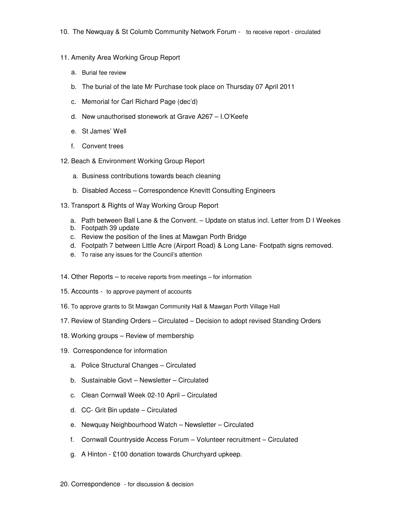- 11. Amenity Area Working Group Report
	- a. Burial fee review
	- b. The burial of the late Mr Purchase took place on Thursday 07 April 2011
	- c. Memorial for Carl Richard Page (dec'd)
	- d. New unauthorised stonework at Grave A267 I.O'Keefe
	- e. St James' Well
	- f. Convent trees
- 12. Beach & Environment Working Group Report
	- a. Business contributions towards beach cleaning
	- b. Disabled Access Correspondence Knevitt Consulting Engineers
- 13. Transport & Rights of Way Working Group Report
	- a. Path between Ball Lane & the Convent. Update on status incl. Letter from D I Weekes
	- b. Footpath 39 update
	- c. Review the position of the lines at Mawgan Porth Bridge
	- d. Footpath 7 between Little Acre (Airport Road) & Long Lane- Footpath signs removed.
	- e. To raise any issues for the Council's attention
- 14. Other Reports to receive reports from meetings for information
- 15. Accounts to approve payment of accounts
- 16. To approve grants to St Mawgan Community Hall & Mawgan Porth Village Hall
- 17. Review of Standing Orders Circulated Decision to adopt revised Standing Orders
- 18. Working groups Review of membership
- 19. Correspondence for information
	- a. Police Structural Changes Circulated
	- b. Sustainable Govt Newsletter Circulated
	- c. Clean Cornwall Week 02-10 April Circulated
	- d. CC- Grit Bin update Circulated
	- e. Newquay Neighbourhood Watch Newsletter Circulated
	- f. Cornwall Countryside Access Forum Volunteer recruitment Circulated
	- g. A Hinton £100 donation towards Churchyard upkeep.